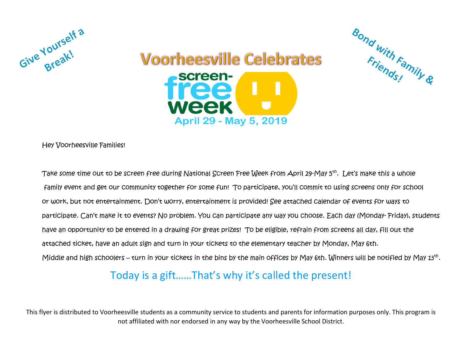



Bond with Family &

Hey Voorheesville Families!

Take some time out to be screen free during National Screen Free Week from April 29-May 5th . Let's make this a whole family event and get our community together for some fun! To participate, you'll commit to using screens only for school or work, but not entertainment. Don't worry, entertainment is provided! See attached calendar of events for ways to participate. Can't make it to events? No problem. You can participate any way you choose. Each day (Monday- Friday), students have an opportunity to be entered in a drawing for great prizes! To be eligible, refrain from screens all day, fill out the attached ticket, have an adult sign and turn in your tickets to the elementary teacher by Monday, May 6th. Middle and high schoolers – turn in your tickets in the bins by the main offices by May 6th. Winners will be notified by May 13<sup>th</sup>.

## Today is a gift……That's why it's called the present!

This flyer is distributed to Voorheesville students as a community service to students and parents for information purposes only. This program is not affiliated with nor endorsed in any way by the Voorheesville School District.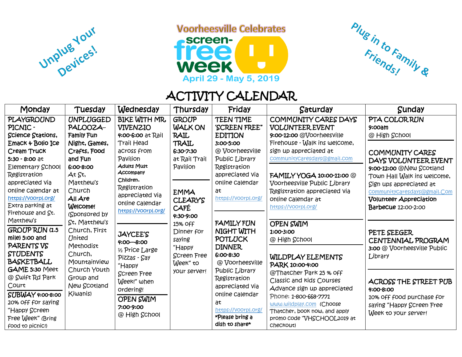

**Voorheesville Celebrates** 





## ACTIVITY CALENDAR

| Monday                                                                                                                                                                                                                                                   | Tuesday                                                                                                                                                                                                                                                                                                                                                | Wednesday                                                                                                                                                                                                                                 | Thursday                                                                                                                                         | Friday                                                                                                                                                                                                                                                                           | Saturday                                                                                                                                                                                                                                                                                                  | <b>Sunday</b>                                                                                                                                                                                                                                                       |
|----------------------------------------------------------------------------------------------------------------------------------------------------------------------------------------------------------------------------------------------------------|--------------------------------------------------------------------------------------------------------------------------------------------------------------------------------------------------------------------------------------------------------------------------------------------------------------------------------------------------------|-------------------------------------------------------------------------------------------------------------------------------------------------------------------------------------------------------------------------------------------|--------------------------------------------------------------------------------------------------------------------------------------------------|----------------------------------------------------------------------------------------------------------------------------------------------------------------------------------------------------------------------------------------------------------------------------------|-----------------------------------------------------------------------------------------------------------------------------------------------------------------------------------------------------------------------------------------------------------------------------------------------------------|---------------------------------------------------------------------------------------------------------------------------------------------------------------------------------------------------------------------------------------------------------------------|
| PLAYGROUND<br>PICNIC -<br>Science Stations,<br>Emack & Bolio Ice<br>Cream Truck<br>$5:30 - 8:00$ at<br>Elementary School<br><b>Registration</b><br>appreciated Via<br>online Calendar at<br>https://voorpl.org/<br>Extra parking at<br>Firehouse and St. | <b>UNPLUGGED</b><br>PALOOZA-<br>Family Fun<br>Night, Games,<br>Crafts, Food<br>and Fun<br>6:00-8:00<br>At St,<br>Matthew's<br>Church<br>$All$ Are<br>Welcome!                                                                                                                                                                                          | <b>BIKE WITH MR.</b><br><b>VIVENZIO</b><br>4:00-6:00 at Rail<br><b>Trail Head</b><br>across from<br>Pavilion<br><b>Adults Must</b><br>Accompany<br>Children.<br>Registration<br>appreciated Via<br>online Calendar<br>https://voorpl.org/ | <b>GROUP</b><br><b>WALK ON</b><br><b>RAIL</b><br>TRAIL<br>6:30-7:30<br>at Rail Trail<br>Pavilion<br><b>EMMA</b><br><b>CLEARYS</b><br><b>CAFÉ</b> | TEEN TIME<br>'SCREEN FREE"<br><b>EDITION</b><br>3:00-5:00<br>@ Voorheesville<br>Public Library<br>Registration<br>appreciated via<br>online Calendar<br>at<br>https://voorpl.org/<br><b>FAMILY FUN</b><br>NIGHT WITH<br>POTLUCK<br><b>DINNER</b><br>6:00-8:30<br>@ Voorheesville | COMMUNITY CARES DAYS<br>VOLUNTEER EVENT<br>9:00-12:00 @Voorheesville<br>Firehouse - Walk ins welcome,<br>sign up appreciated at<br>communitycaresdays@gmail.com<br>FAMILY YOGA 10:00-11:00 @<br>Voorheesville Public Library<br>Registration appreciated Via<br>online Calendar at<br>https://voorpl.org/ | PTA COLORRUN<br>$9:00$ am<br>@ High School<br>COMMUNITY CARES<br>DAYS VOLUNTEER EVENT<br>9:00-12:00 @New Scotland<br>Town Hall Walk ins welcome,<br>Sign ups appreciated at<br>communitycaresdays@gmail.Com<br><b>Volunteer Appreciation</b><br>Barbecue 12:00-2:00 |
| Matthew's<br><b>GROUP RUN (1.5</b><br>mile) 5:00 and<br>PARENTS VS<br><b>STUDENTS</b><br>BASKETBALL                                                                                                                                                      | (Sponsored by<br>St, Matthew's<br>Church, First<br><b>JAYCEE'S</b><br><b>United</b><br>$4:00 - 8:00$<br>Methodist<br>1/2 Price Large<br>Church,<br>Pizzas - Say<br>Mountainview<br>"Happy<br>Church Youth<br><b>Screen Free</b><br>Group and<br>Week!" when<br>New Scotland<br>ordering!<br>Kiwanis)<br><b>OPEN SWIM</b><br>7:00-9:00<br>@ High School |                                                                                                                                                                                                                                           | 4:30-9:00<br>15% Off<br>Dinner for<br>saying<br>"Happy<br><b>Screen Free</b><br>Week" to                                                         |                                                                                                                                                                                                                                                                                  | <b>OPEN SWIM</b><br>1:00-3:00<br>@ High School<br><b>WILDPLAY ELEMENTS</b><br>PARK 10:00-4:00                                                                                                                                                                                                             | PETE SEEGER<br>CENTENNIAL PROGRAM<br>3:00 @ Voorheesville Public<br>Library                                                                                                                                                                                         |
| GAME 5:30 Meet<br>@ Swift Rd Park<br>Court<br>SUBWAY 4:00-8:00<br>20% off for saying<br>"Happy Screen<br>Free Week" (Bring<br>food to picnic!)                                                                                                           |                                                                                                                                                                                                                                                                                                                                                        | your server!                                                                                                                                                                                                                              | Public Library<br>Registration<br>appreciated via<br>online Calendar<br>at<br>https://voorpl.org/<br>*Please bring a<br>dish to share*           | @ThatCher Park 25 % off<br>Classic and kids Courses<br>Advance sign up appreciated<br>Phone: 1-800-668-7771<br>www.wildplay.com (Choose<br>Thatcher, book now, and apply<br>promo code "VHSCHOOL2019 at<br>Checkout)                                                             | ACROSS THE STREET PUB<br>4:00-8:00<br>10% off food purchase for<br>saying "Happy Screen Free<br>Week to your server!                                                                                                                                                                                      |                                                                                                                                                                                                                                                                     |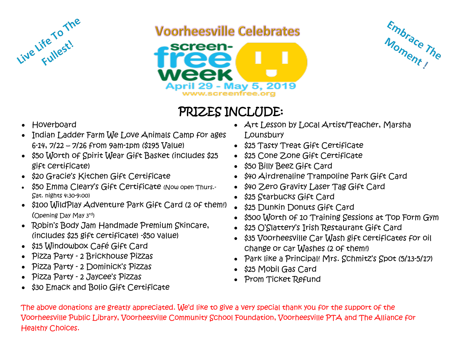

## **Voorheesville Celebrates**





## PRIZES INCLUDE:

- Hoverboard
- Indian Ladder Farm We Love Animals Camp for ages 6-14, 7/22 – 7/26 from 9am-1pm (\$195 Value)
- \$50 Worth of Spirit Wear Gift Basket (includes \$25 gift certificate)
- \$20 Gracie's Kitchen Gift Certificate
- \$50 Emma Cleary's Gift Certificate (Now open Thurs.-Sat. nights 4:30-9:00)
- \$100 WildPlay Adventure Park Gift Card (2 of them!) (Opening Day May 3rd)
- Robin's Body Jam Handmade Premium Skincare, (includes \$25 gift certificate) -\$50 value)
- \$15 Windowbox Café Gift Card
- Pizza Party 2 Brickhouse Pizzas
- Pizza Party 2 Dominick's Pizzas
- Pizza Party 2 Jaycee's Pizzas
- \$30 Emack and Bolio Gift Certificate
- Art Lesson by Local Artist/Teacher, Marsha Lounsbury
- \$25 Tasty Treat Gift Certificate
- \$25 Cone Zone Gift Certificate
- \$50 Billy Beez Gift Card
- \$40 Airdrenaline Trampoline Park Gift Card
- \$40 Zero Gravity Laser Tag Gift Card
- \$25 Starbucks Gift Card
- \$25 Dunkin Donuts Gift Card
- \$500 Worth of 10 Training Sessions at Top Form Gym
- \$25 O'Slattery's Irish Restaurant Gift Card
- \$35 Voorheesville Car Wash gift certificates for oil change or car Washes (2 of them!)
- Park like a Principal! Mrs. Schmitz's Spot (5/13-5/17)
- \$25 Mobil Gas Card
- Prom Ticket Refund

The above donations are greatly appreciated. We'd like to give a very special thank you for the support of the Voorheesville Public Library, Voorheesville Community School Foundation, Voorheesville PTA and The Alliance for Healthy Choices.